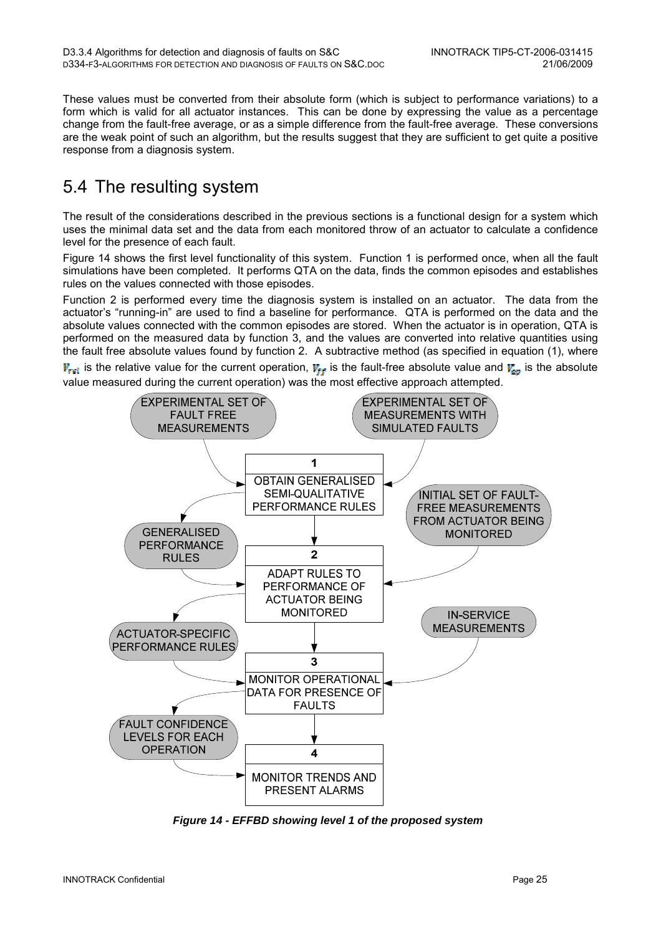These values must be converted from their absolute form (which is subject to performance variations) to a form which is valid for all actuator instances. This can be done by expressing the value as a percentage change from the fault-free average, or as a simple difference from the fault-free average. These conversions are the weak point of such an algorithm, but the results suggest that they are sufficient to get quite a positive response from a diagnosis system.

## 5.4 The resulting system

The result of the considerations described in the previous sections is a functional design for a system which uses the minimal data set and the data from each monitored throw of an actuator to calculate a confidence level for the presence of each fault.

Figure 14 shows the first level functionality of this system. Function 1 is performed once, when all the fault simulations have been completed. It performs QTA on the data, finds the common episodes and establishes rules on the values connected with those episodes.

Function 2 is performed every time the diagnosis system is installed on an actuator. The data from the actuator's "running-in" are used to find a baseline for performance. QTA is performed on the data and the absolute values connected with the common episodes are stored. When the actuator is in operation, QTA is performed on the measured data by function 3, and the values are converted into relative quantities using the fault free absolute values found by function 2. A subtractive method (as specified in equation (1), where

 $V_{rel}$  is the relative value for the current operation,  $V_{ff}$  is the fault-free absolute value and  $V_{cg}$  is the absolute value measured during the current operation) was the most effective approach attempted.



**Figure 14 - EFFBD showing level 1 of the proposed system**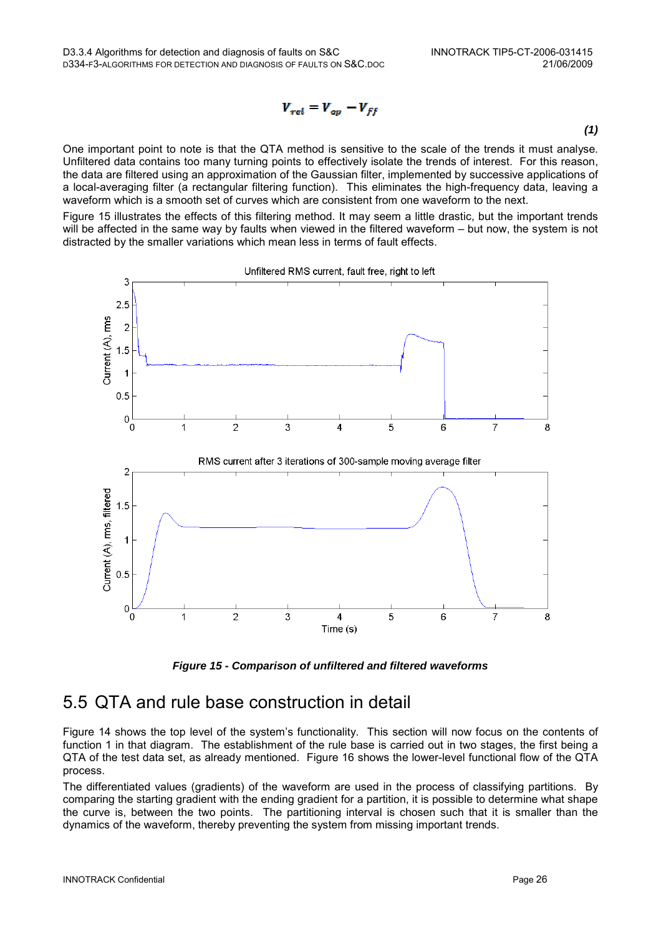$$
V_{rel} = V_{op} - V_{ff}
$$

**(1)** 

One important point to note is that the QTA method is sensitive to the scale of the trends it must analyse. Unfiltered data contains too many turning points to effectively isolate the trends of interest. For this reason, the data are filtered using an approximation of the Gaussian filter, implemented by successive applications of a local-averaging filter (a rectangular filtering function). This eliminates the high-frequency data, leaving a waveform which is a smooth set of curves which are consistent from one waveform to the next.

Figure 15 illustrates the effects of this filtering method. It may seem a little drastic, but the important trends will be affected in the same way by faults when viewed in the filtered waveform – but now, the system is not distracted by the smaller variations which mean less in terms of fault effects.



**Figure 15 - Comparison of unfiltered and filtered waveforms** 

### 5.5 QTA and rule base construction in detail

Figure 14 shows the top level of the system's functionality. This section will now focus on the contents of function 1 in that diagram. The establishment of the rule base is carried out in two stages, the first being a QTA of the test data set, as already mentioned. Figure 16 shows the lower-level functional flow of the QTA process.

The differentiated values (gradients) of the waveform are used in the process of classifying partitions. By comparing the starting gradient with the ending gradient for a partition, it is possible to determine what shape the curve is, between the two points. The partitioning interval is chosen such that it is smaller than the dynamics of the waveform, thereby preventing the system from missing important trends.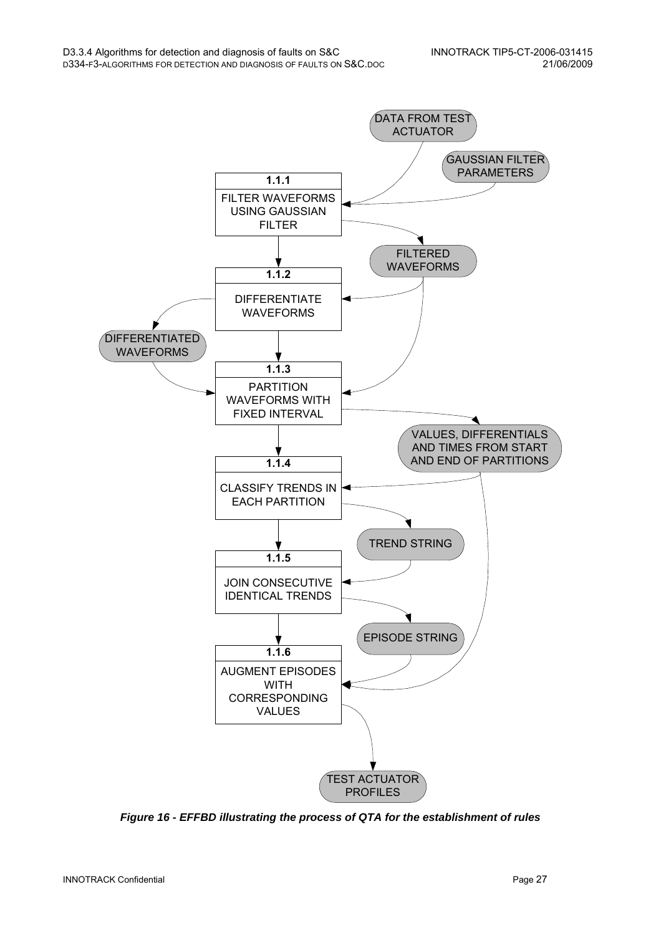

**Figure 16 - EFFBD illustrating the process of QTA for the establishment of rules**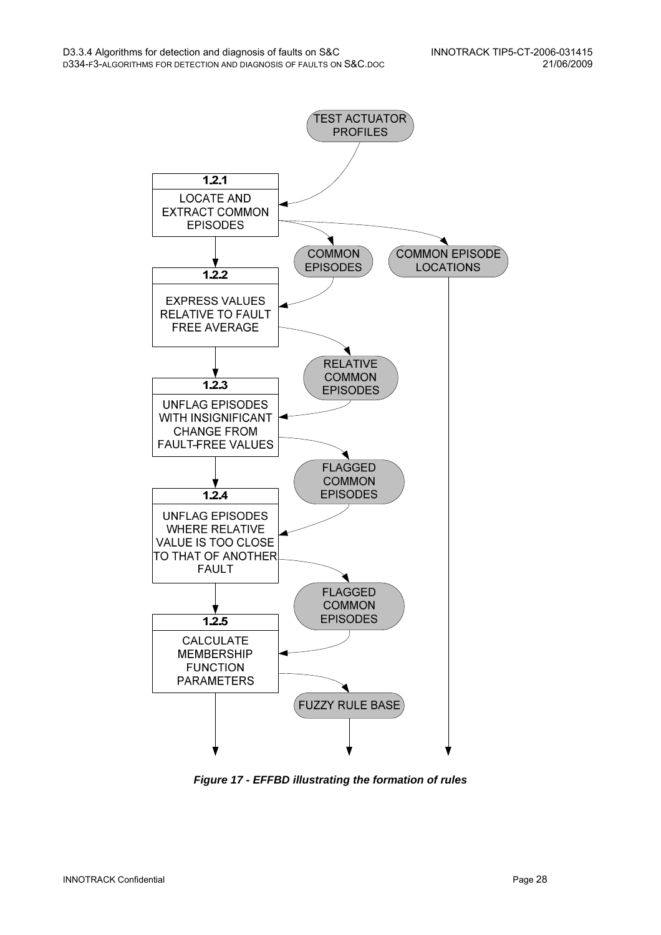

**Figure 17 - EFFBD illustrating the formation of rules**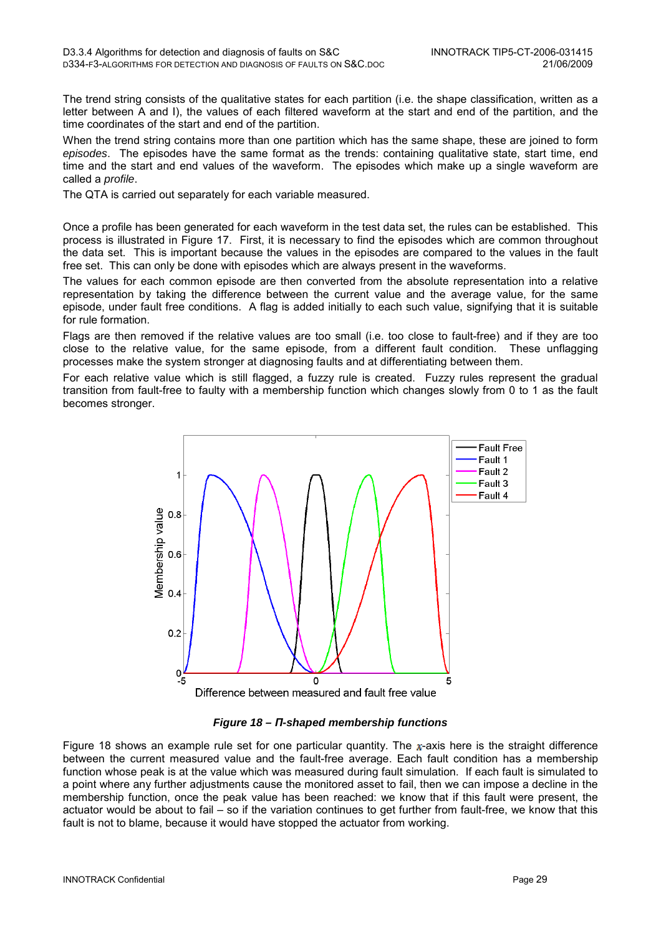The trend string consists of the qualitative states for each partition (i.e. the shape classification, written as a letter between A and I), the values of each filtered waveform at the start and end of the partition, and the time coordinates of the start and end of the partition.

When the trend string contains more than one partition which has the same shape, these are joined to form episodes. The episodes have the same format as the trends: containing qualitative state, start time, end time and the start and end values of the waveform. The episodes which make up a single waveform are called a profile.

The QTA is carried out separately for each variable measured.

Once a profile has been generated for each waveform in the test data set, the rules can be established. This process is illustrated in Figure 17. First, it is necessary to find the episodes which are common throughout the data set. This is important because the values in the episodes are compared to the values in the fault free set. This can only be done with episodes which are always present in the waveforms.

The values for each common episode are then converted from the absolute representation into a relative representation by taking the difference between the current value and the average value, for the same episode, under fault free conditions. A flag is added initially to each such value, signifying that it is suitable for rule formation.

Flags are then removed if the relative values are too small (i.e. too close to fault-free) and if they are too close to the relative value, for the same episode, from a different fault condition. These unflagging processes make the system stronger at diagnosing faults and at differentiating between them.

For each relative value which is still flagged, a fuzzy rule is created. Fuzzy rules represent the gradual transition from fault-free to faulty with a membership function which changes slowly from 0 to 1 as the fault becomes stronger.



**Figure 18 –** Π**-shaped membership functions** 

Figure 18 shows an example rule set for one particular quantity. The x-axis here is the straight difference between the current measured value and the fault-free average. Each fault condition has a membership function whose peak is at the value which was measured during fault simulation. If each fault is simulated to a point where any further adjustments cause the monitored asset to fail, then we can impose a decline in the membership function, once the peak value has been reached: we know that if this fault were present, the actuator would be about to fail – so if the variation continues to get further from fault-free, we know that this fault is not to blame, because it would have stopped the actuator from working.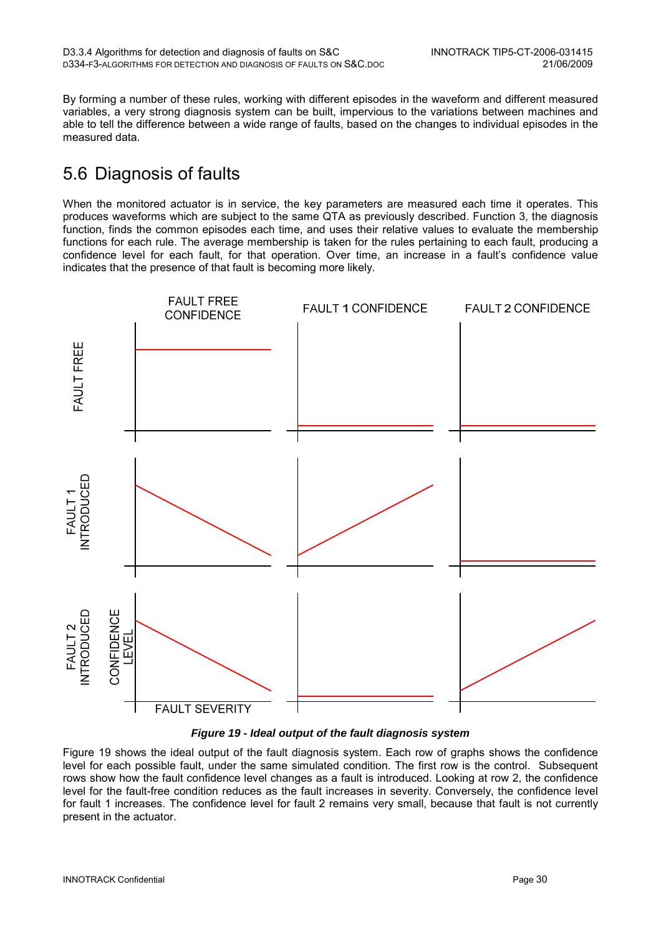By forming a number of these rules, working with different episodes in the waveform and different measured variables, a very strong diagnosis system can be built, impervious to the variations between machines and able to tell the difference between a wide range of faults, based on the changes to individual episodes in the measured data.

# 5.6 Diagnosis of faults

When the monitored actuator is in service, the key parameters are measured each time it operates. This produces waveforms which are subject to the same QTA as previously described. Function 3, the diagnosis function, finds the common episodes each time, and uses their relative values to evaluate the membership functions for each rule. The average membership is taken for the rules pertaining to each fault, producing a confidence level for each fault, for that operation. Over time, an increase in a fault's confidence value indicates that the presence of that fault is becoming more likely.



#### **Figure 19 - Ideal output of the fault diagnosis system**

Figure 19 shows the ideal output of the fault diagnosis system. Each row of graphs shows the confidence level for each possible fault, under the same simulated condition. The first row is the control. Subsequent rows show how the fault confidence level changes as a fault is introduced. Looking at row 2, the confidence level for the fault-free condition reduces as the fault increases in severity. Conversely, the confidence level for fault 1 increases. The confidence level for fault 2 remains very small, because that fault is not currently present in the actuator.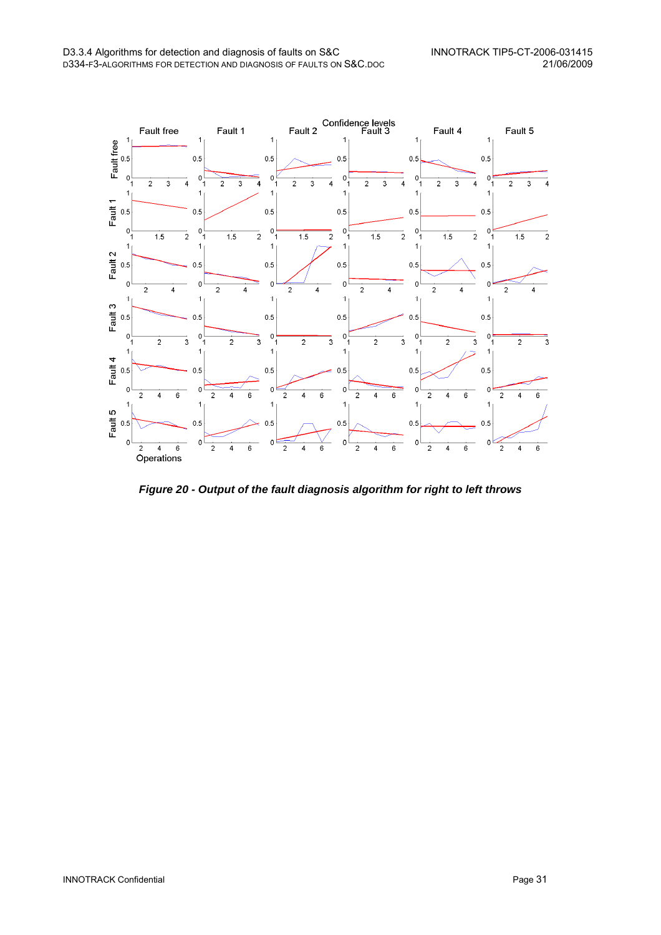

**Figure 20 - Output of the fault diagnosis algorithm for right to left throws**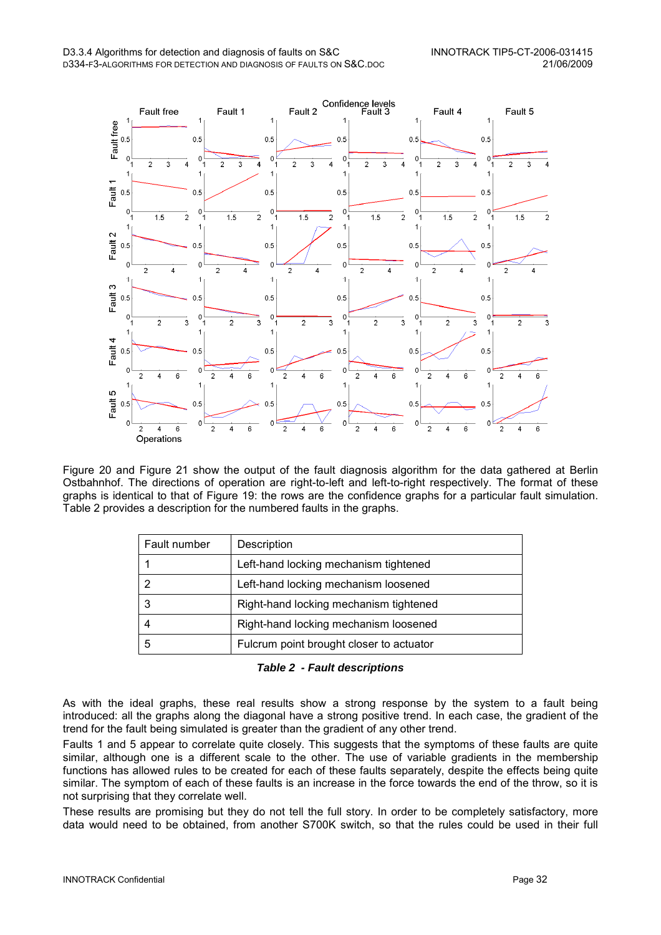

Figure 20 and Figure 21 show the output of the fault diagnosis algorithm for the data gathered at Berlin Ostbahnhof. The directions of operation are right-to-left and left-to-right respectively. The format of these graphs is identical to that of Figure 19: the rows are the confidence graphs for a particular fault simulation. Table 2 provides a description for the numbered faults in the graphs.

| Fault number | Description                              |
|--------------|------------------------------------------|
|              | Left-hand locking mechanism tightened    |
| 2            | Left-hand locking mechanism loosened     |
| 3            | Right-hand locking mechanism tightened   |
| 4            | Right-hand locking mechanism loosened    |
| 5            | Fulcrum point brought closer to actuator |

**Table 2 - Fault descriptions** 

As with the ideal graphs, these real results show a strong response by the system to a fault being introduced: all the graphs along the diagonal have a strong positive trend. In each case, the gradient of the trend for the fault being simulated is greater than the gradient of any other trend.

Faults 1 and 5 appear to correlate quite closely. This suggests that the symptoms of these faults are quite similar, although one is a different scale to the other. The use of variable gradients in the membership functions has allowed rules to be created for each of these faults separately, despite the effects being quite similar. The symptom of each of these faults is an increase in the force towards the end of the throw, so it is not surprising that they correlate well.

These results are promising but they do not tell the full story. In order to be completely satisfactory, more data would need to be obtained, from another S700K switch, so that the rules could be used in their full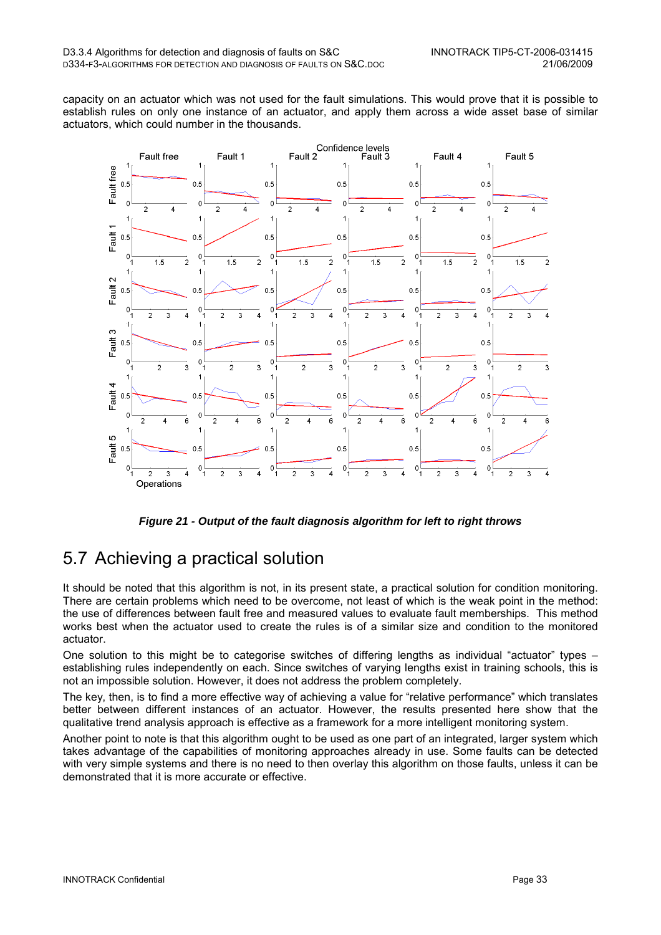capacity on an actuator which was not used for the fault simulations. This would prove that it is possible to establish rules on only one instance of an actuator, and apply them across a wide asset base of similar actuators, which could number in the thousands.



**Figure 21 - Output of the fault diagnosis algorithm for left to right throws** 

## 5.7 Achieving a practical solution

It should be noted that this algorithm is not, in its present state, a practical solution for condition monitoring. There are certain problems which need to be overcome, not least of which is the weak point in the method: the use of differences between fault free and measured values to evaluate fault memberships. This method works best when the actuator used to create the rules is of a similar size and condition to the monitored actuator.

One solution to this might be to categorise switches of differing lengths as individual "actuator" types – establishing rules independently on each. Since switches of varying lengths exist in training schools, this is not an impossible solution. However, it does not address the problem completely.

The key, then, is to find a more effective way of achieving a value for "relative performance" which translates better between different instances of an actuator. However, the results presented here show that the qualitative trend analysis approach is effective as a framework for a more intelligent monitoring system.

Another point to note is that this algorithm ought to be used as one part of an integrated, larger system which takes advantage of the capabilities of monitoring approaches already in use. Some faults can be detected with very simple systems and there is no need to then overlay this algorithm on those faults, unless it can be demonstrated that it is more accurate or effective.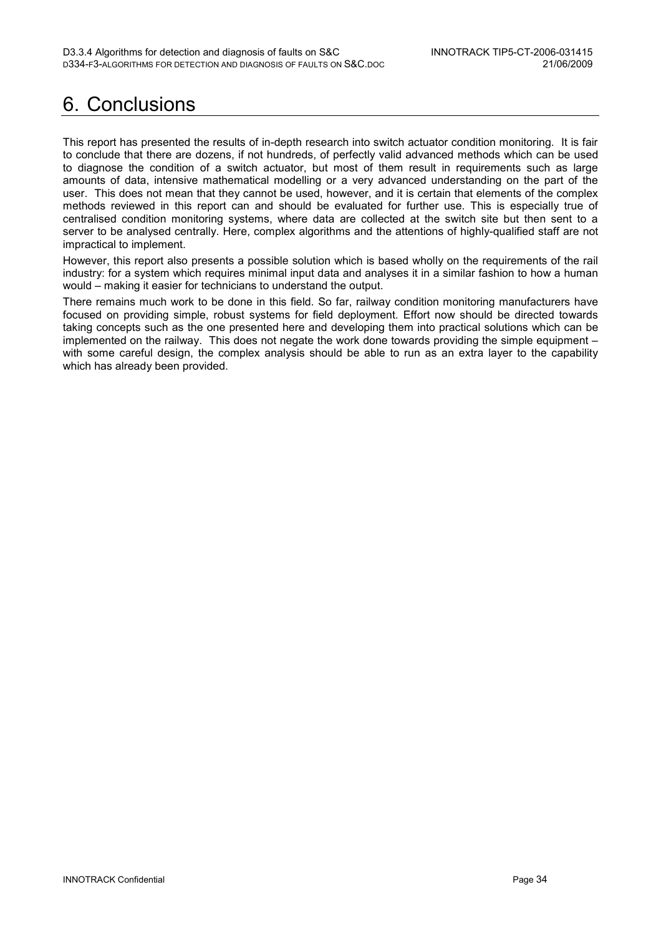# 6. Conclusions

This report has presented the results of in-depth research into switch actuator condition monitoring. It is fair to conclude that there are dozens, if not hundreds, of perfectly valid advanced methods which can be used to diagnose the condition of a switch actuator, but most of them result in requirements such as large amounts of data, intensive mathematical modelling or a very advanced understanding on the part of the user. This does not mean that they cannot be used, however, and it is certain that elements of the complex methods reviewed in this report can and should be evaluated for further use. This is especially true of centralised condition monitoring systems, where data are collected at the switch site but then sent to a server to be analysed centrally. Here, complex algorithms and the attentions of highly-qualified staff are not impractical to implement.

However, this report also presents a possible solution which is based wholly on the requirements of the rail industry: for a system which requires minimal input data and analyses it in a similar fashion to how a human would – making it easier for technicians to understand the output.

There remains much work to be done in this field. So far, railway condition monitoring manufacturers have focused on providing simple, robust systems for field deployment. Effort now should be directed towards taking concepts such as the one presented here and developing them into practical solutions which can be implemented on the railway. This does not negate the work done towards providing the simple equipment – with some careful design, the complex analysis should be able to run as an extra layer to the capability which has already been provided.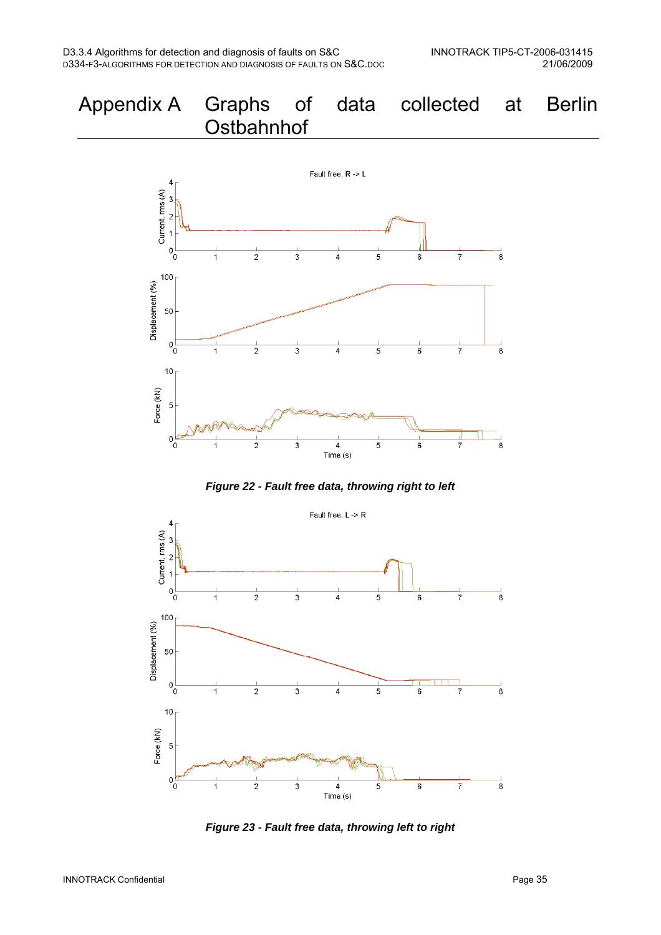



**Figure 23 - Fault free data, throwing left to right**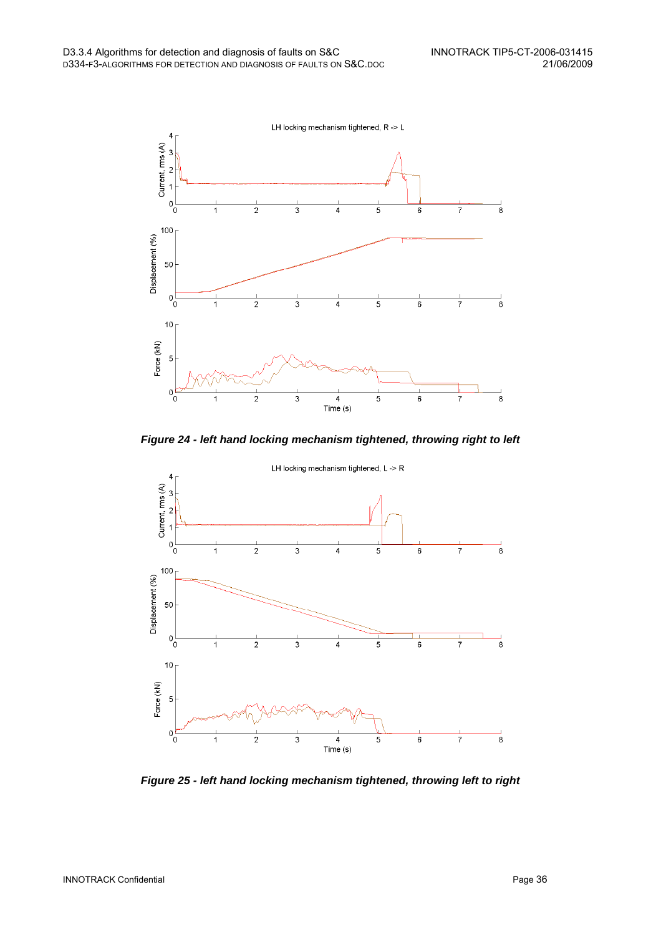

**Figure 24 - left hand locking mechanism tightened, throwing right to left** 



**Figure 25 - left hand locking mechanism tightened, throwing left to right**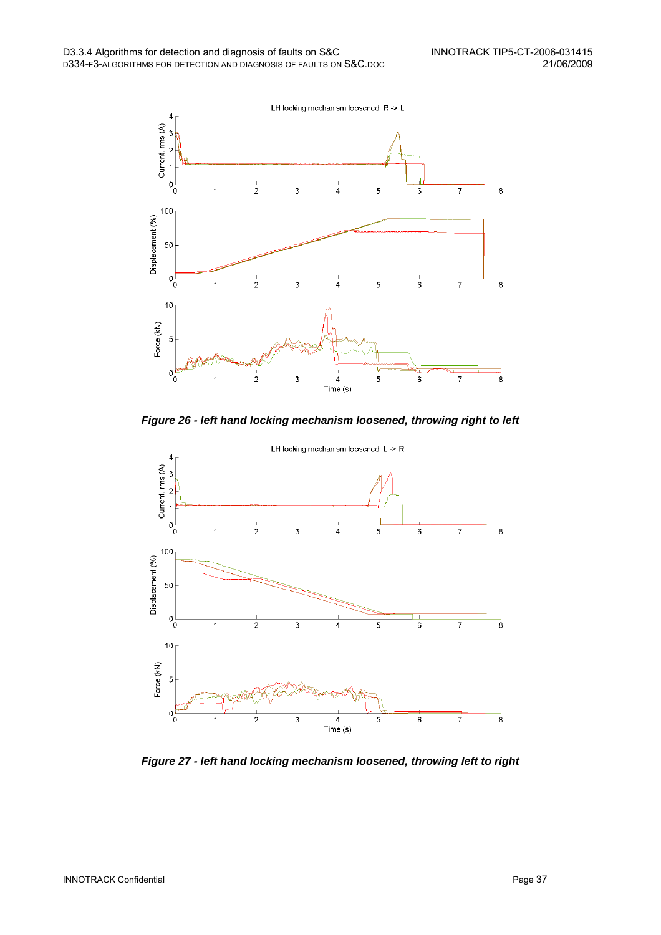

**Figure 26 - left hand locking mechanism loosened, throwing right to left** 



**Figure 27 - left hand locking mechanism loosened, throwing left to right**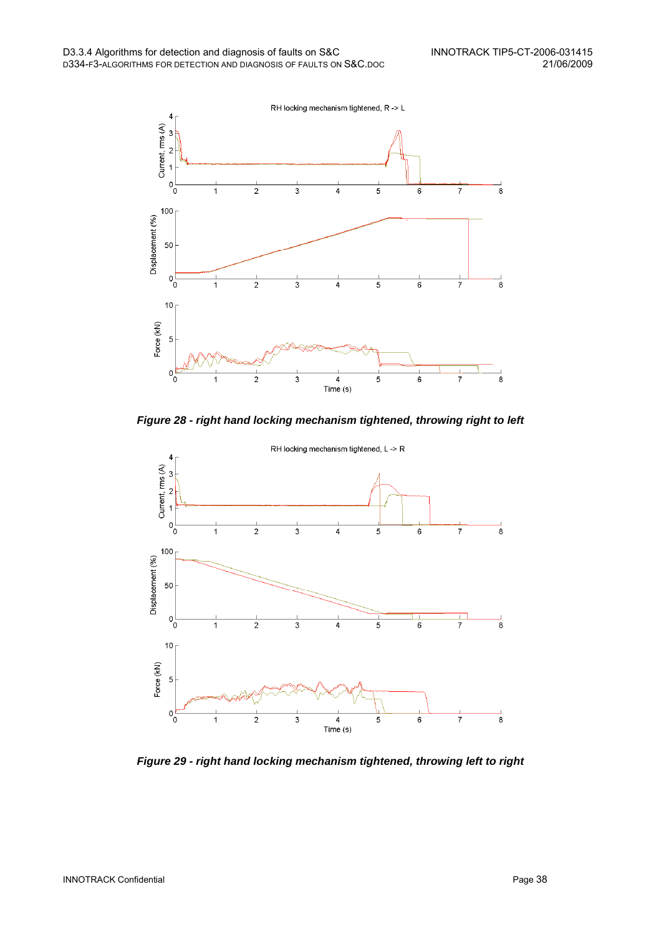

**Figure 28 - right hand locking mechanism tightened, throwing right to left** 



**Figure 29 - right hand locking mechanism tightened, throwing left to right**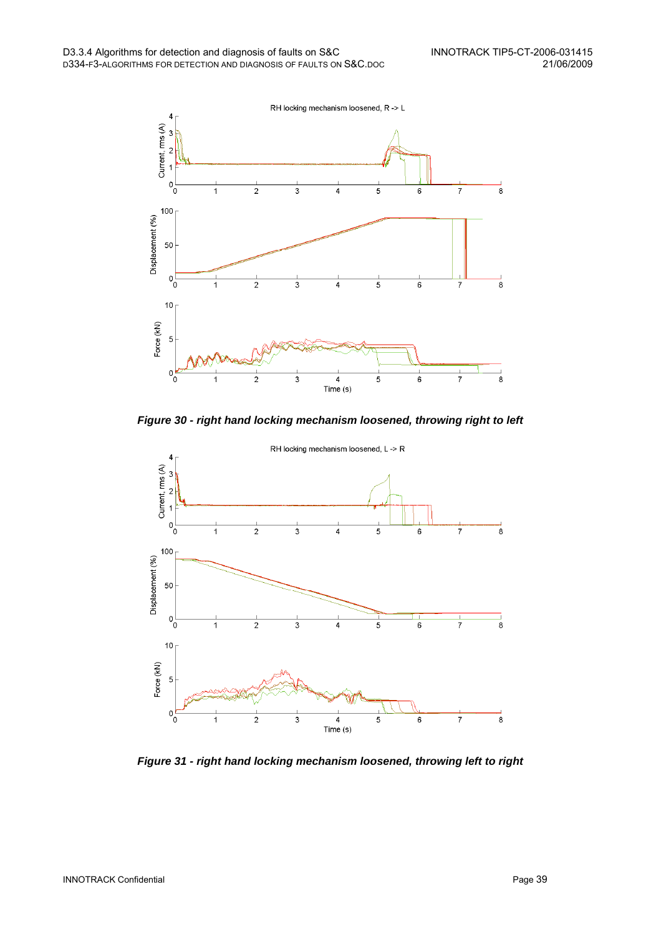

**Figure 30 - right hand locking mechanism loosened, throwing right to left** 



**Figure 31 - right hand locking mechanism loosened, throwing left to right**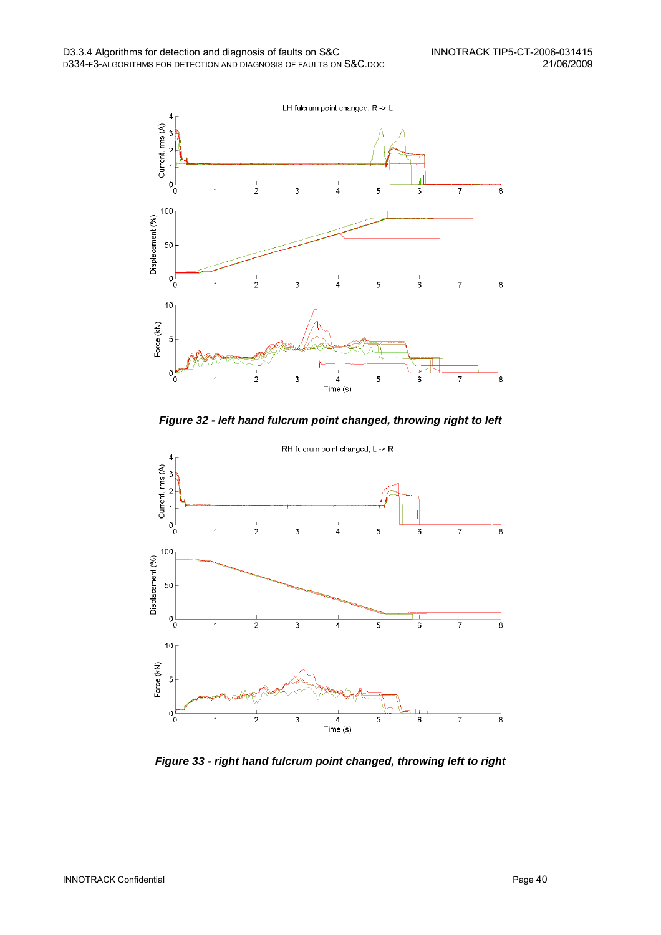

**Figure 32 - left hand fulcrum point changed, throwing right to left** 



**Figure 33 - right hand fulcrum point changed, throwing left to right**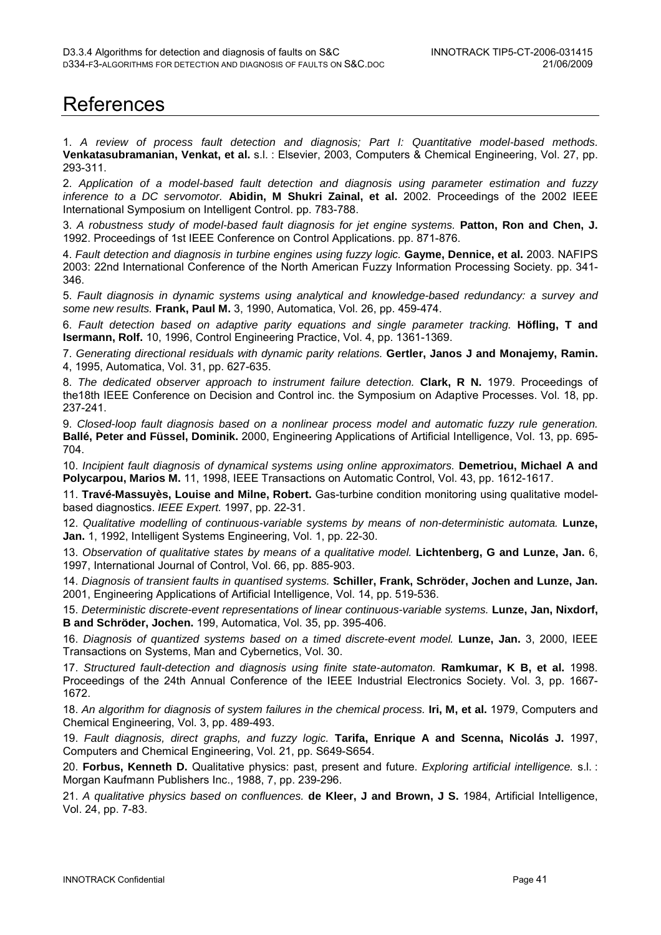# References

1. A review of process fault detection and diagnosis; Part I: Quantitative model-based methods. **Venkatasubramanian, Venkat, et al.** s.l. : Elsevier, 2003, Computers & Chemical Engineering, Vol. 27, pp. 293-311.

2. Application of a model-based fault detection and diagnosis using parameter estimation and fuzzy inference to a DC servomotor. **Abidin, M Shukri Zainal, et al.** 2002. Proceedings of the 2002 IEEE International Symposium on Intelligent Control. pp. 783-788.

3. A robustness study of model-based fault diagnosis for jet engine systems. **Patton, Ron and Chen, J.** 1992. Proceedings of 1st IEEE Conference on Control Applications. pp. 871-876.

4. Fault detection and diagnosis in turbine engines using fuzzy logic. **Gayme, Dennice, et al.** 2003. NAFIPS 2003: 22nd International Conference of the North American Fuzzy Information Processing Society. pp. 341- 346.

5. Fault diagnosis in dynamic systems using analytical and knowledge-based redundancy: a survey and some new results. **Frank, Paul M.** 3, 1990, Automatica, Vol. 26, pp. 459-474.

6. Fault detection based on adaptive parity equations and single parameter tracking. **Höfling, T and Isermann, Rolf.** 10, 1996, Control Engineering Practice, Vol. 4, pp. 1361-1369.

7. Generating directional residuals with dynamic parity relations. **Gertler, Janos J and Monajemy, Ramin.** 4, 1995, Automatica, Vol. 31, pp. 627-635.

8. The dedicated observer approach to instrument failure detection. **Clark, R N.** 1979. Proceedings of the18th IEEE Conference on Decision and Control inc. the Symposium on Adaptive Processes. Vol. 18, pp. 237-241.

9. Closed-loop fault diagnosis based on a nonlinear process model and automatic fuzzy rule generation. **Ballé, Peter and Füssel, Dominik.** 2000, Engineering Applications of Artificial Intelligence, Vol. 13, pp. 695- 704.

10. Incipient fault diagnosis of dynamical systems using online approximators. **Demetriou, Michael A and Polycarpou, Marios M.** 11, 1998, IEEE Transactions on Automatic Control, Vol. 43, pp. 1612-1617.

11. **Travé-Massuyès, Louise and Milne, Robert.** Gas-turbine condition monitoring using qualitative modelbased diagnostics. IEEE Expert. 1997, pp. 22-31.

12. Qualitative modelling of continuous-variable systems by means of non-deterministic automata. **Lunze, Jan.** 1, 1992, Intelligent Systems Engineering, Vol. 1, pp. 22-30.

13. Observation of qualitative states by means of a qualitative model. **Lichtenberg, G and Lunze, Jan.** 6, 1997, International Journal of Control, Vol. 66, pp. 885-903.

14. Diagnosis of transient faults in quantised systems. **Schiller, Frank, Schröder, Jochen and Lunze, Jan.** 2001, Engineering Applications of Artificial Intelligence, Vol. 14, pp. 519-536.

15. Deterministic discrete-event representations of linear continuous-variable systems. **Lunze, Jan, Nixdorf, B and Schröder, Jochen.** 199, Automatica, Vol. 35, pp. 395-406.

16. Diagnosis of quantized systems based on a timed discrete-event model. **Lunze, Jan.** 3, 2000, IEEE Transactions on Systems, Man and Cybernetics, Vol. 30.

17. Structured fault-detection and diagnosis using finite state-automaton. **Ramkumar, K B, et al.** 1998. Proceedings of the 24th Annual Conference of the IEEE Industrial Electronics Society. Vol. 3, pp. 1667- 1672.

18. An algorithm for diagnosis of system failures in the chemical process. **Iri, M, et al.** 1979, Computers and Chemical Engineering, Vol. 3, pp. 489-493.

19. Fault diagnosis, direct graphs, and fuzzy logic. **Tarifa, Enrique A and Scenna, Nicolás J.** 1997, Computers and Chemical Engineering, Vol. 21, pp. S649-S654.

20. **Forbus, Kenneth D.** Qualitative physics: past, present and future. Exploring artificial intelligence. s.l. : Morgan Kaufmann Publishers Inc., 1988, 7, pp. 239-296.

21. A qualitative physics based on confluences. **de Kleer, J and Brown, J S.** 1984, Artificial Intelligence, Vol. 24, pp. 7-83.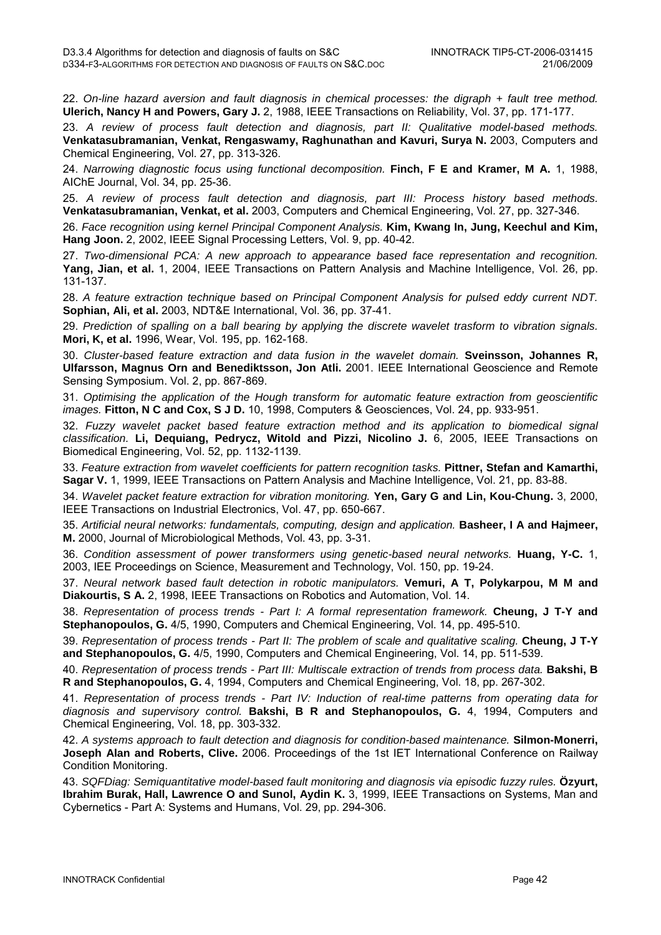22. On-line hazard aversion and fault diagnosis in chemical processes: the digraph + fault tree method. **Ulerich, Nancy H and Powers, Gary J.** 2, 1988, IEEE Transactions on Reliability, Vol. 37, pp. 171-177.

23. A review of process fault detection and diagnosis, part II: Qualitative model-based methods. **Venkatasubramanian, Venkat, Rengaswamy, Raghunathan and Kavuri, Surya N.** 2003, Computers and Chemical Engineering, Vol. 27, pp. 313-326.

24. Narrowing diagnostic focus using functional decomposition. **Finch, F E and Kramer, M A.** 1, 1988, AIChE Journal, Vol. 34, pp. 25-36.

25. A review of process fault detection and diagnosis, part III: Process history based methods. **Venkatasubramanian, Venkat, et al.** 2003, Computers and Chemical Engineering, Vol. 27, pp. 327-346.

26. Face recognition using kernel Principal Component Analysis. **Kim, Kwang In, Jung, Keechul and Kim, Hang Joon.** 2, 2002, IEEE Signal Processing Letters, Vol. 9, pp. 40-42.

27. Two-dimensional PCA: A new approach to appearance based face representation and recognition. **Yang, Jian, et al.** 1, 2004, IEEE Transactions on Pattern Analysis and Machine Intelligence, Vol. 26, pp. 131-137.

28. A feature extraction technique based on Principal Component Analysis for pulsed eddy current NDT. **Sophian, Ali, et al.** 2003, NDT&E International, Vol. 36, pp. 37-41.

29. Prediction of spalling on a ball bearing by applying the discrete wavelet trasform to vibration signals. **Mori, K, et al.** 1996, Wear, Vol. 195, pp. 162-168.

30. Cluster-based feature extraction and data fusion in the wavelet domain. **Sveinsson, Johannes R, Ulfarsson, Magnus Orn and Benediktsson, Jon Atli.** 2001. IEEE International Geoscience and Remote Sensing Symposium. Vol. 2, pp. 867-869.

31. Optimising the application of the Hough transform for automatic feature extraction from geoscientific images. **Fitton, N C and Cox, S J D.** 10, 1998, Computers & Geosciences, Vol. 24, pp. 933-951.

32. Fuzzy wavelet packet based feature extraction method and its application to biomedical signal classification. **Li, Dequiang, Pedrycz, Witold and Pizzi, Nicolino J.** 6, 2005, IEEE Transactions on Biomedical Engineering, Vol. 52, pp. 1132-1139.

33. Feature extraction from wavelet coefficients for pattern recognition tasks. **Pittner, Stefan and Kamarthi, Sagar V.** 1, 1999, IEEE Transactions on Pattern Analysis and Machine Intelligence, Vol. 21, pp. 83-88.

34. Wavelet packet feature extraction for vibration monitoring. **Yen, Gary G and Lin, Kou-Chung.** 3, 2000, IEEE Transactions on Industrial Electronics, Vol. 47, pp. 650-667.

35. Artificial neural networks: fundamentals, computing, design and application. **Basheer, I A and Hajmeer, M.** 2000, Journal of Microbiological Methods, Vol. 43, pp. 3-31.

36. Condition assessment of power transformers using genetic-based neural networks. **Huang, Y-C.** 1, 2003, IEE Proceedings on Science, Measurement and Technology, Vol. 150, pp. 19-24.

37. Neural network based fault detection in robotic manipulators. **Vemuri, A T, Polykarpou, M M and Diakourtis, S A.** 2, 1998, IEEE Transactions on Robotics and Automation, Vol. 14.

38. Representation of process trends - Part I: A formal representation framework. **Cheung, J T-Y and Stephanopoulos, G.** 4/5, 1990, Computers and Chemical Engineering, Vol. 14, pp. 495-510.

39. Representation of process trends - Part II: The problem of scale and qualitative scaling. **Cheung, J T-Y and Stephanopoulos, G.** 4/5, 1990, Computers and Chemical Engineering, Vol. 14, pp. 511-539.

40. Representation of process trends - Part III: Multiscale extraction of trends from process data. **Bakshi, B R and Stephanopoulos, G.** 4, 1994, Computers and Chemical Engineering, Vol. 18, pp. 267-302.

41. Representation of process trends - Part IV: Induction of real-time patterns from operating data for diagnosis and supervisory control. **Bakshi, B R and Stephanopoulos, G.** 4, 1994, Computers and Chemical Engineering, Vol. 18, pp. 303-332.

42. A systems approach to fault detection and diagnosis for condition-based maintenance. **Silmon-Monerri, Joseph Alan and Roberts, Clive.** 2006. Proceedings of the 1st IET International Conference on Railway Condition Monitoring.

43. SQFDiag: Semiquantitative model-based fault monitoring and diagnosis via episodic fuzzy rules. **Özyurt, Ibrahim Burak, Hall, Lawrence O and Sunol, Aydin K.** 3, 1999, IEEE Transactions on Systems, Man and Cybernetics - Part A: Systems and Humans, Vol. 29, pp. 294-306.